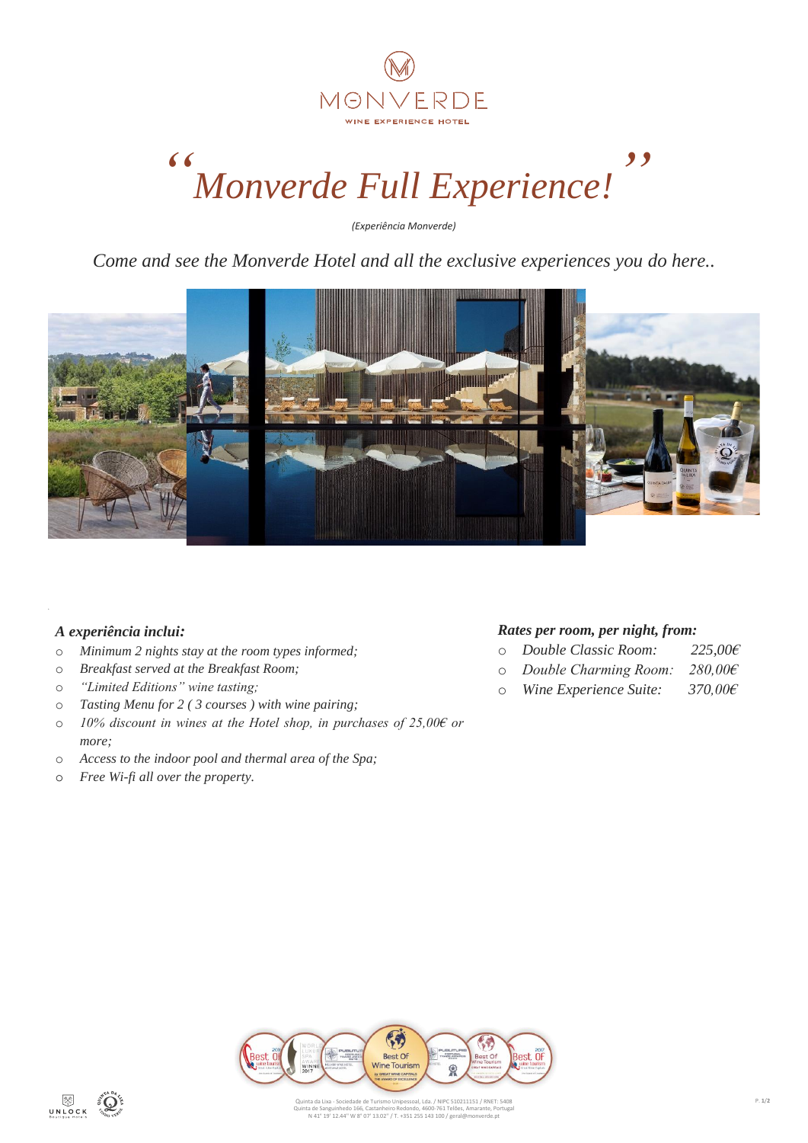

# *" Monverde Full Experience! "*

*(Experiência Monverde)*

*Come and see the Monverde Hotel and all the exclusive experiences you do here..*



## *A experiência inclui:*

- o *Minimum 2 nights stay at the room types informed;*
- o *Breakfast served at the Breakfast Room;*
- o *"Limited Editions" wine tasting;*
- o *Tasting Menu for 2 ( 3 courses ) with wine pairing;*
- o *10% discount in wines at the Hotel shop, in purchases of 25,00€ or more;*
- o *Access to the indoor pool and thermal area of the Spa;*
- o *Free Wi-fi all over the property.*

## *Rates per room, per night, from:*

- o *Double Classic Room: 225,00€*
- o *Double Charming Room: 280,00€*
- o *Wine Experience Suite: 370,00€*

 $\mathbb{G}$ Best Of<br>Wine Tourism ø